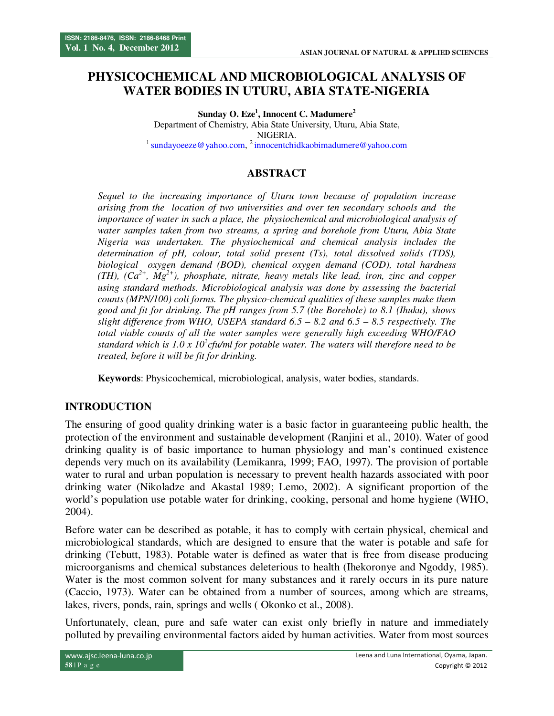# **PHYSICOCHEMICAL AND MICROBIOLOGICAL ANALYSIS OF WATER BODIES IN UTURU, ABIA STATE-NIGERIA**

**Sunday O. Eze<sup>1</sup> , Innocent C. Madumere<sup>2</sup>** Department of Chemistry, Abia State University, Uturu, Abia State, NIGERIA. <sup>1</sup> sundayoeeze@yahoo.com, <sup>2</sup> innocentchidkaobimadumere@yahoo.com

## **ABSTRACT**

*Sequel to the increasing importance of Uturu town because of population increase arising from the location of two universities and over ten secondary schools and the importance of water in such a place, the physiochemical and microbiological analysis of water samples taken from two streams, a spring and borehole from Uturu, Abia State Nigeria was undertaken. The physiochemical and chemical analysis includes the determination of pH, colour, total solid present (Ts), total dissolved solids (TDS), biological oxygen demand (BOD), chemical oxygen demand (COD), total hardness (TH), (Ca2+, Mg2+), phosphate, nitrate, heavy metals like lead, iron, zinc and copper using standard methods. Microbiological analysis was done by assessing the bacterial counts (MPN/100) coli forms. The physico-chemical qualities of these samples make them good and fit for drinking. The pH ranges from 5.7 (the Borehole) to 8.1 (Ihuku), shows slight difference from WHO, USEPA standard 6.5 – 8.2 and 6.5 – 8.5 respectively. The total viable counts of all the water samples were generally high exceeding WHO/FAO standard which is 1.0 x 10<sup>2</sup> cfu/ml for potable water. The waters will therefore need to be treated, before it will be fit for drinking.* 

**Keywords**: Physicochemical, microbiological, analysis, water bodies, standards.

#### **INTRODUCTION**

The ensuring of good quality drinking water is a basic factor in guaranteeing public health, the protection of the environment and sustainable development (Ranjini et al., 2010). Water of good drinking quality is of basic importance to human physiology and man's continued existence depends very much on its availability (Lemikanra, 1999; FAO, 1997). The provision of portable water to rural and urban population is necessary to prevent health hazards associated with poor drinking water (Nikoladze and Akastal 1989; Lemo, 2002). A significant proportion of the world's population use potable water for drinking, cooking, personal and home hygiene (WHO, 2004).

Before water can be described as potable, it has to comply with certain physical, chemical and microbiological standards, which are designed to ensure that the water is potable and safe for drinking (Tebutt, 1983). Potable water is defined as water that is free from disease producing microorganisms and chemical substances deleterious to health (Ihekoronye and Ngoddy, 1985). Water is the most common solvent for many substances and it rarely occurs in its pure nature (Caccio, 1973). Water can be obtained from a number of sources, among which are streams, lakes, rivers, ponds, rain, springs and wells ( Okonko et al., 2008).

Unfortunately, clean, pure and safe water can exist only briefly in nature and immediately polluted by prevailing environmental factors aided by human activities. Water from most sources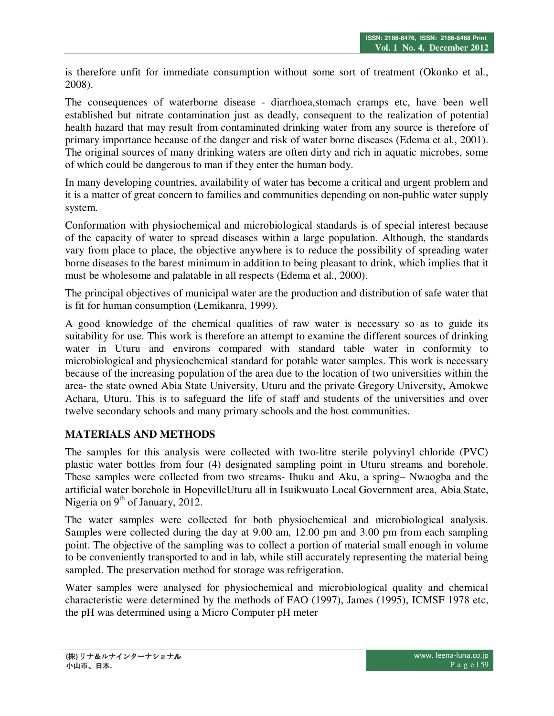is therefore unfit for immediate consumption without some sort of treatment (Okonko et al., 2008).

The consequences of waterborne disease - diarrhoea,stomach cramps etc, have been well established but nitrate contamination just as deadly, consequent to the realization of potential health hazard that may result from contaminated drinking water from any source is therefore of primary importance because of the danger and risk of water borne diseases (Edema et al., 2001). The original sources of many drinking waters are often dirty and rich in aquatic microbes, some of which could be dangerous to man if they enter the human body.

In many developing countries, availability of water has become a critical and urgent problem and it is a matter of great concern to families and communities depending on non-public water supply system.

Conformation with physiochemical and microbiological standards is of special interest because of the capacity of water to spread diseases within a large population. Although, the standards vary from place to place, the objective anywhere is to reduce the possibility of spreading water borne diseases to the barest minimum in addition to being pleasant to drink, which implies that it must be wholesome and palatable in all respects (Edema et al., 2000).

The principal objectives of municipal water are the production and distribution of safe water that is fit for human consumption (Lemikanra, 1999).

A good knowledge of the chemical qualities of raw water is necessary so as to guide its suitability for use. This work is therefore an attempt to examine the different sources of drinking water in Uturu and environs compared with standard table water in conformity to microbiological and physicochemical standard for potable water samples. This work is necessary because of the increasing population of the area due to the location of two universities within the area- the state owned Abia State University, Uturu and the private Gregory University, Amokwe Achara, Uturu. This is to safeguard the life of staff and students of the universities and over twelve secondary schools and many primary schools and the host communities.

# **MATERIALS AND METHODS**

The samples for this analysis were collected with two-litre sterile polyvinyl chloride (PVC) plastic water bottles from four (4) designated sampling point in Uturu streams and borehole. These samples were collected from two streams- Ihuku and Aku, a spring– Nwaogba and the artificial water borehole in HopevilleUturu all in Isuikwuato Local Government area, Abia State, Nigeria on  $9<sup>th</sup>$  of January, 2012.

The water samples were collected for both physiochemical and microbiological analysis. Samples were collected during the day at 9.00 am, 12.00 pm and 3.00 pm from each sampling point. The objective of the sampling was to collect a portion of material small enough in volume to be conveniently transported to and in lab, while still accurately representing the material being sampled. The preservation method for storage was refrigeration.

Water samples were analysed for physiochemical and microbiological quality and chemical characteristic were determined by the methods of FAO (1997), James (1995), ICMSF 1978 etc, the pH was determined using a Micro Computer pH meter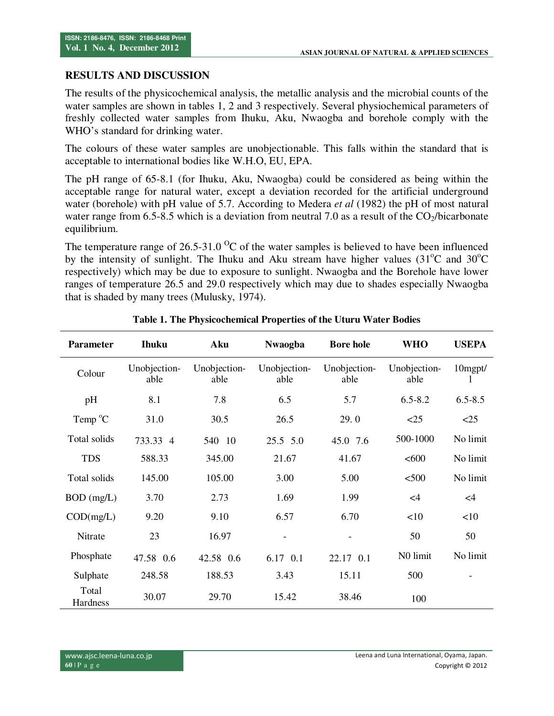## **RESULTS AND DISCUSSION**

The results of the physicochemical analysis, the metallic analysis and the microbial counts of the water samples are shown in tables 1, 2 and 3 respectively. Several physiochemical parameters of freshly collected water samples from Ihuku, Aku, Nwaogba and borehole comply with the WHO's standard for drinking water.

The colours of these water samples are unobjectionable. This falls within the standard that is acceptable to international bodies like W.H.O, EU, EPA.

The pH range of 65-8.1 (for Ihuku, Aku, Nwaogba) could be considered as being within the acceptable range for natural water, except a deviation recorded for the artificial underground water (borehole) with pH value of 5.7. According to Medera *et al* (1982) the pH of most natural water range from 6.5-8.5 which is a deviation from neutral 7.0 as a result of the  $CO<sub>2</sub>/bicarbonate$ equilibrium.

The temperature range of  $26.5-31.0$  <sup>O</sup>C of the water samples is believed to have been influenced by the intensity of sunlight. The Ihuku and Aku stream have higher values  $(31^{\circ}$ C and  $30^{\circ}$ C respectively) which may be due to exposure to sunlight. Nwaogba and the Borehole have lower ranges of temperature 26.5 and 29.0 respectively which may due to shades especially Nwaogba that is shaded by many trees (Mulusky, 1974).

| <b>Parameter</b>  | <b>Ihuku</b>         | Aku                  | <b>Nwaogba</b>       | <b>Bore hole</b>     | <b>WHO</b>           | <b>USEPA</b> |
|-------------------|----------------------|----------------------|----------------------|----------------------|----------------------|--------------|
| Colour            | Unobjection-<br>able | Unobjection-<br>able | Unobjection-<br>able | Unobjection-<br>able | Unobjection-<br>able | 10mgpt/<br>1 |
| pH                | 8.1                  | 7.8                  | 6.5                  | 5.7                  | $6.5 - 8.2$          | $6.5 - 8.5$  |
| Temp $^{\circ}$ C | 31.0                 | 30.5                 | 26.5                 | 29.0                 | <25                  | <25          |
| Total solids      | 733.33 4             | 540 10               | 25.5 5.0             | 45.0 7.6             | 500-1000             | No limit     |
| <b>TDS</b>        | 588.33               | 345.00               | 21.67                | 41.67                | <600                 | No limit     |
| Total solids      | 145.00               | 105.00               | 3.00                 | 5.00                 | < 500                | No limit     |
| BOD (mg/L)        | 3.70                 | 2.73                 | 1.69                 | 1.99                 | $\leq$ 4             | $\leq$ 4     |
| COD(mg/L)         | 9.20                 | 9.10                 | 6.57                 | 6.70                 | <10                  | <10          |
| Nitrate           | 23                   | 16.97                |                      |                      | 50                   | 50           |
| Phosphate         | 47.58 0.6            | 42.58 0.6            | 6.17 0.1             | 22.17 0.1            | N0 limit             | No limit     |
| Sulphate          | 248.58               | 188.53               | 3.43                 | 15.11                | 500                  |              |
| Total<br>Hardness | 30.07                | 29.70                | 15.42                | 38.46                | 100                  |              |

**Table 1. The Physicochemical Properties of the Uturu Water Bodies**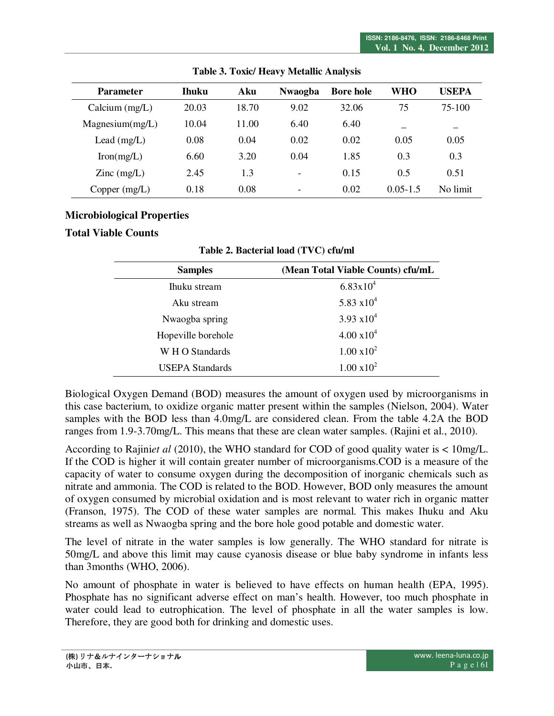| <b>Parameter</b>             | <b>Thuku</b> | Aku   | <b>Nwaogba</b>           | <b>Bore hole</b> | WHO          | <b>USEPA</b> |
|------------------------------|--------------|-------|--------------------------|------------------|--------------|--------------|
| Calcium $(mg/L)$             | 20.03        | 18.70 | 9.02                     | 32.06            | 75           | 75-100       |
| Magnesium(mg/L)              | 10.04        | 11.00 | 6.40                     | 6.40             | —            |              |
| Lead $(mg/L)$                | 0.08         | 0.04  | 0.02                     | 0.02             | 0.05         | 0.05         |
| Iron(mg/L)                   | 6.60         | 3.20  | 0.04                     | 1.85             | 0.3          | 0.3          |
| $\text{Zinc} \text{ (mg/L)}$ | 2.45         | 1.3   | $\overline{\phantom{0}}$ | 0.15             | 0.5          | 0.51         |
| Copper $(mg/L)$              | 0.18         | 0.08  | $\overline{\phantom{0}}$ | 0.02             | $0.05 - 1.5$ | No limit     |

**Table 3. Toxic/ Heavy Metallic Analysis** 

## **Microbiological Properties**

#### **Total Viable Counts**

| <b>Samples</b>         | (Mean Total Viable Counts) cfu/mL |
|------------------------|-----------------------------------|
| Ihuku stream           | $6.83 \times 10^{4}$              |
| Aku stream             | 5.83 $x10^4$                      |
| Nwaogba spring         | $3.93 \times 10^{4}$              |
| Hopeville borehole     | $4.00 \times 10^{4}$              |
| W H O Standards        | $1.00 \times 10^{2}$              |
| <b>USEPA Standards</b> | $1.00 \times 10^{2}$              |
|                        |                                   |

**Table 2. Bacterial load (TVC) cfu/ml** 

Biological Oxygen Demand (BOD) measures the amount of oxygen used by microorganisms in this case bacterium, to oxidize organic matter present within the samples (Nielson, 2004). Water samples with the BOD less than 4.0mg/L are considered clean. From the table 4.2A the BOD ranges from 1.9-3.70mg/L. This means that these are clean water samples. (Rajini et al., 2010).

According to Rajini*et al* (2010), the WHO standard for COD of good quality water is < 10mg/L. If the COD is higher it will contain greater number of microorganisms.COD is a measure of the capacity of water to consume oxygen during the decomposition of inorganic chemicals such as nitrate and ammonia. The COD is related to the BOD. However, BOD only measures the amount of oxygen consumed by microbial oxidation and is most relevant to water rich in organic matter (Franson, 1975). The COD of these water samples are normal. This makes Ihuku and Aku streams as well as Nwaogba spring and the bore hole good potable and domestic water.

The level of nitrate in the water samples is low generally. The WHO standard for nitrate is 50mg/L and above this limit may cause cyanosis disease or blue baby syndrome in infants less than 3months (WHO, 2006).

No amount of phosphate in water is believed to have effects on human health (EPA, 1995). Phosphate has no significant adverse effect on man's health. However, too much phosphate in water could lead to eutrophication. The level of phosphate in all the water samples is low. Therefore, they are good both for drinking and domestic uses.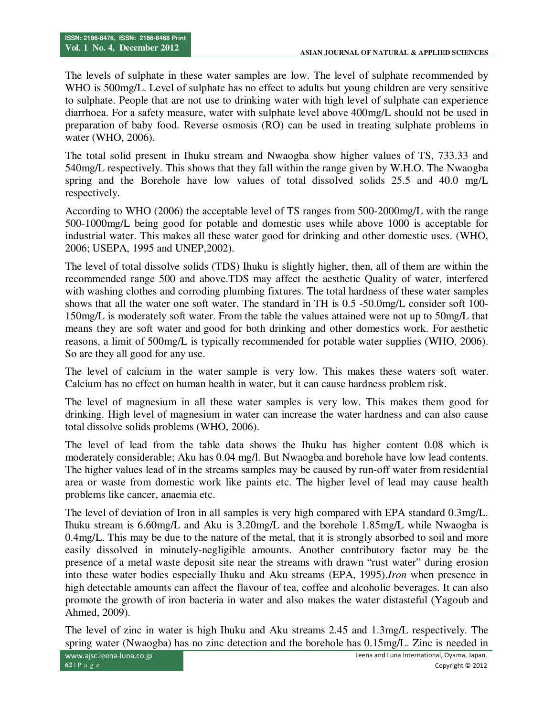The levels of sulphate in these water samples are low. The level of sulphate recommended by WHO is 500mg/L. Level of sulphate has no effect to adults but young children are very sensitive to sulphate. People that are not use to drinking water with high level of sulphate can experience diarrhoea. For a safety measure, water with sulphate level above 400mg/L should not be used in preparation of baby food. Reverse osmosis (RO) can be used in treating sulphate problems in water (WHO, 2006).

The total solid present in Ihuku stream and Nwaogba show higher values of TS, 733.33 and 540mg/L respectively. This shows that they fall within the range given by W.H.O. The Nwaogba spring and the Borehole have low values of total dissolved solids 25.5 and 40.0 mg/L respectively.

According to WHO (2006) the acceptable level of TS ranges from 500-2000mg/L with the range 500-1000mg/L being good for potable and domestic uses while above 1000 is acceptable for industrial water. This makes all these water good for drinking and other domestic uses. (WHO, 2006; USEPA, 1995 and UNEP,2002).

The level of total dissolve solids (TDS) Ihuku is slightly higher, then, all of them are within the recommended range 500 and above.TDS may affect the aesthetic Quality of water, interfered with washing clothes and corroding plumbing fixtures. The total hardness of these water samples shows that all the water one soft water. The standard in TH is 0.5 -50.0mg/L consider soft 100- 150mg/L is moderately soft water. From the table the values attained were not up to 50mg/L that means they are soft water and good for both drinking and other domestics work. For aesthetic reasons, a limit of 500mg/L is typically recommended for potable water supplies (WHO, 2006). So are they all good for any use.

The level of calcium in the water sample is very low. This makes these waters soft water. Calcium has no effect on human health in water, but it can cause hardness problem risk.

The level of magnesium in all these water samples is very low. This makes them good for drinking. High level of magnesium in water can increase the water hardness and can also cause total dissolve solids problems (WHO, 2006).

The level of lead from the table data shows the Ihuku has higher content 0.08 which is moderately considerable; Aku has 0.04 mg/l. But Nwaogba and borehole have low lead contents. The higher values lead of in the streams samples may be caused by run-off water from residential area or waste from domestic work like paints etc. The higher level of lead may cause health problems like cancer, anaemia etc.

The level of deviation of Iron in all samples is very high compared with EPA standard 0.3mg/L. Ihuku stream is 6.60mg/L and Aku is 3.20mg/L and the borehole 1.85mg/L while Nwaogba is 0.4mg/L. This may be due to the nature of the metal, that it is strongly absorbed to soil and more easily dissolved in minutely-negligible amounts. Another contributory factor may be the presence of a metal waste deposit site near the streams with drawn "rust water" during erosion into these water bodies especially Ihuku and Aku streams (EPA, 1995).*Iron* when presence in high detectable amounts can affect the flavour of tea, coffee and alcoholic beverages. It can also promote the growth of iron bacteria in water and also makes the water distasteful (Yagoub and Ahmed, 2009).

The level of zinc in water is high Ihuku and Aku streams 2.45 and 1.3mg/L respectively. The spring water (Nwaogba) has no zinc detection and the borehole has 0.15mg/L. Zinc is needed in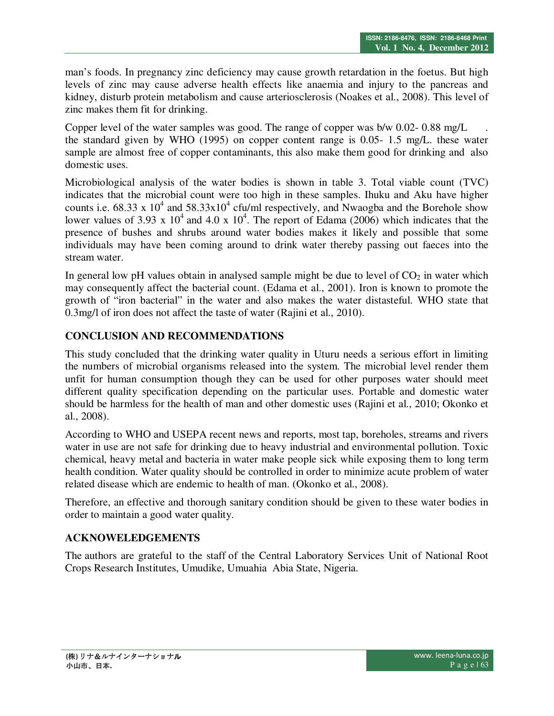man's foods. In pregnancy zinc deficiency may cause growth retardation in the foetus. But high levels of zinc may cause adverse health effects like anaemia and injury to the pancreas and kidney, disturb protein metabolism and cause arteriosclerosis (Noakes et al., 2008). This level of zinc makes them fit for drinking.

Copper level of the water samples was good. The range of copper was b/w 0.02- 0.88 mg/L the standard given by WHO (1995) on copper content range is 0.05- 1.5 mg/L. these water sample are almost free of copper contaminants, this also make them good for drinking and also domestic uses.

Microbiological analysis of the water bodies is shown in table 3. Total viable count (TVC) indicates that the microbial count were too high in these samples. Ihuku and Aku have higher counts i.e. 68.33 x  $10^4$  and 58.33x10<sup>4</sup> cfu/ml respectively, and Nwaogba and the Borehole show lower values of 3.93 x  $10^4$  and 4.0 x  $10^4$ . The report of Edama (2006) which indicates that the presence of bushes and shrubs around water bodies makes it likely and possible that some individuals may have been coming around to drink water thereby passing out faeces into the stream water.

In general low pH values obtain in analysed sample might be due to level of  $CO<sub>2</sub>$  in water which may consequently affect the bacterial count. (Edama et al., 2001). Iron is known to promote the growth of "iron bacterial" in the water and also makes the water distasteful. WHO state that 0.3mg/l of iron does not affect the taste of water (Rajini et al., 2010).

# **CONCLUSION AND RECOMMENDATIONS**

This study concluded that the drinking water quality in Uturu needs a serious effort in limiting the numbers of microbial organisms released into the system. The microbial level render them unfit for human consumption though they can be used for other purposes water should meet different quality specification depending on the particular uses. Portable and domestic water should be harmless for the health of man and other domestic uses (Rajini et al., 2010; Okonko et al., 2008).

According to WHO and USEPA recent news and reports, most tap, boreholes, streams and rivers water in use are not safe for drinking due to heavy industrial and environmental pollution. Toxic chemical, heavy metal and bacteria in water make people sick while exposing them to long term health condition. Water quality should be controlled in order to minimize acute problem of water related disease which are endemic to health of man. (Okonko et al., 2008).

Therefore, an effective and thorough sanitary condition should be given to these water bodies in order to maintain a good water quality.

# **ACKNOWELEDGEMENTS**

The authors are grateful to the staff of the Central Laboratory Services Unit of National Root Crops Research Institutes, Umudike, Umuahia Abia State, Nigeria.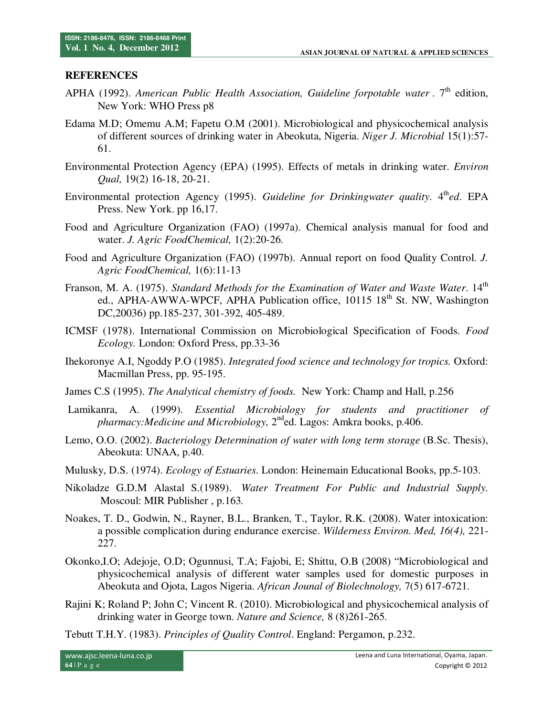#### **REFERENCES**

- APHA (1992). American Public Health Association, Guideline forpotable water . 7<sup>th</sup> edition, New York: WHO Press p8
- Edama M.D; Omemu A.M; Fapetu O.M (2001). Microbiological and physicochemical analysis of different sources of drinking water in Abeokuta, Nigeria. *Niger J. Microbial* 15(1):57- 61.
- Environmental Protection Agency (EPA) (1995). Effects of metals in drinking water. *Environ Qual,* 19(2) 16-18, 20-21.
- Environmental protection Agency (1995). *Guideline for Drinkingwater quality*. 4<sup>th</sup>ed. EPA Press. New York. pp 16,17.
- Food and Agriculture Organization (FAO) (1997a). Chemical analysis manual for food and water. *J. Agric FoodChemical,* 1(2):20-26.
- Food and Agriculture Organization (FAO) (1997b). Annual report on food Quality Control. *J. Agric FoodChemical,* 1(6):11-13
- Franson, M. A. (1975). *Standard Methods for the Examination of Water and Waste Water*. 14<sup>th</sup> ed., APHA-AWWA-WPCF, APHA Publication office,  $10115\,18^{th}$  St. NW, Washington DC,20036) pp.185-237, 301-392, 405-489.
- ICMSF (1978). International Commission on Microbiological Specification of Foods. *Food Ecology.* London: Oxford Press, pp.33-36
- Ihekoronye A.I, Ngoddy P.O (1985). *Integrated food science and technology for tropics.* Oxford: Macmillan Press, pp. 95-195.
- James C.S (1995). *The Analytical chemistry of foods.* New York: Champ and Hall, p.256
- Lamikanra, A. (1999). *Essential Microbiology for students and practitioner of*  pharmacy: Medicine and Microbiology, 2<sup>nd</sup>ed. Lagos: Amkra books, p.406.
- Lemo, O.O. (2002). *Bacteriology Determination of water with long term storage* (B.Sc. Thesis), Abeokuta: UNAA, p.40.
- Mulusky, D.S. (1974). *Ecology of Estuaries*. London: Heinemain Educational Books, pp.5-103.
- Nikoladze G.D.M Alastal S.(1989). *Water Treatment For Public and Industrial Supply.*  Moscoul: MIR Publisher , p.163*.*
- Noakes, T. D., Godwin, N., Rayner, B.L., Branken, T., Taylor, R.K. (2008). Water intoxication: a possible complication during endurance exercise. *Wilderness Environ. Med, 16(4),* 221- 227.
- Okonko,I.O; Adejoje, O.D; Ogunnusi, T.A; Fajobi, E; Shittu, O.B (2008) "Microbiological and physicochemical analysis of different water samples used for domestic purposes in Abeokuta and Ojota, Lagos Nigeria. *African Jounal of Biolechnology,* 7(5) 617-6721.
- Rajini K; Roland P; John C; Vincent R. (2010). Microbiological and physicochemical analysis of drinking water in George town. *Nature and Science,* 8 (8)261-265.

Tebutt T.H.Y. (1983). *Principles of Quality Control*. England: Pergamon, p.232.